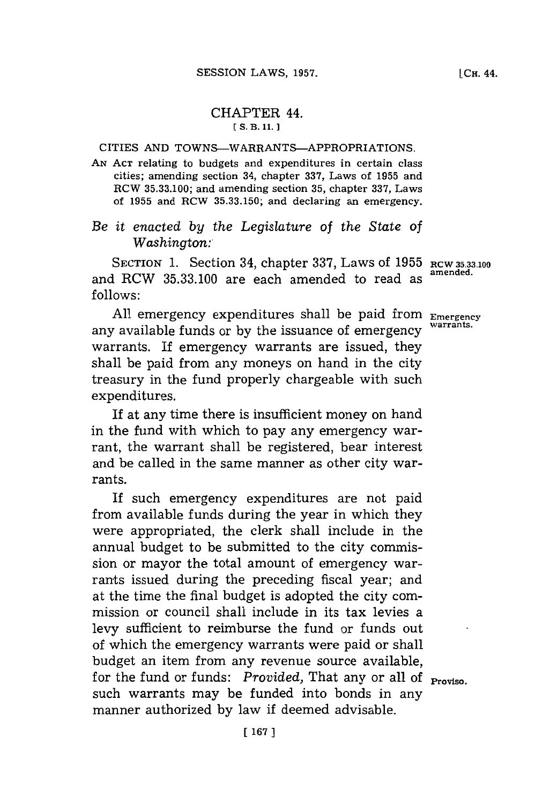## CHAPTER 44. **[ S. B. 11.1**

## CITIES **AND** TOWNS-WARRANTS-APPROPRIATIONS.

**AN ACT** relating to budgets and expenditures in certain class cities; amending section 34, chapter **337,** Laws of **1955** and RCW **35.33.100;** and amending section **35,** chapter **337,** Laws of **1955** and RCW **35.33.150;** and declaring an emergency.

*Be it enacted by the Legislature of the State of Washington:*

SECTION 1. Section 34, chapter 337, Laws of 1955 RCW 35.33.100 and RCW **35.33.100** are each amended to read as **follows:**

**All** emergency expenditures shall be paid from **Emergency** any available funds or by the issuance of emergency warrants. **If** emergency warrants are issued, they shall be paid from any moneys on hand in the city treasury in the fund properly chargeable with such expenditures.

If at any time there is insufficient money on hand in the fund with which to pay any emergency warrant, the warrant shall be registered, bear interest and be called in the same manner as other city warrants.

If such emergency expenditures are not paid from available funds during the year in which they were appropriated, the clerk shall include in the annual budget to be submitted to the city commission or mayor the total amount of emergency warrants issued during the preceding fiscal year; and at the time the final budget is adopted the city commission or council shall include in its tax levies a levy sufficient to reimburse the fund or funds out of which the emergency warrants were paid or shall budget an item from any revenue source available, for the fund or funds: *Provided*, That any or all of **Proviso**. such warrants may be funded into bonds in any manner authorized **by** law if deemed advisable.